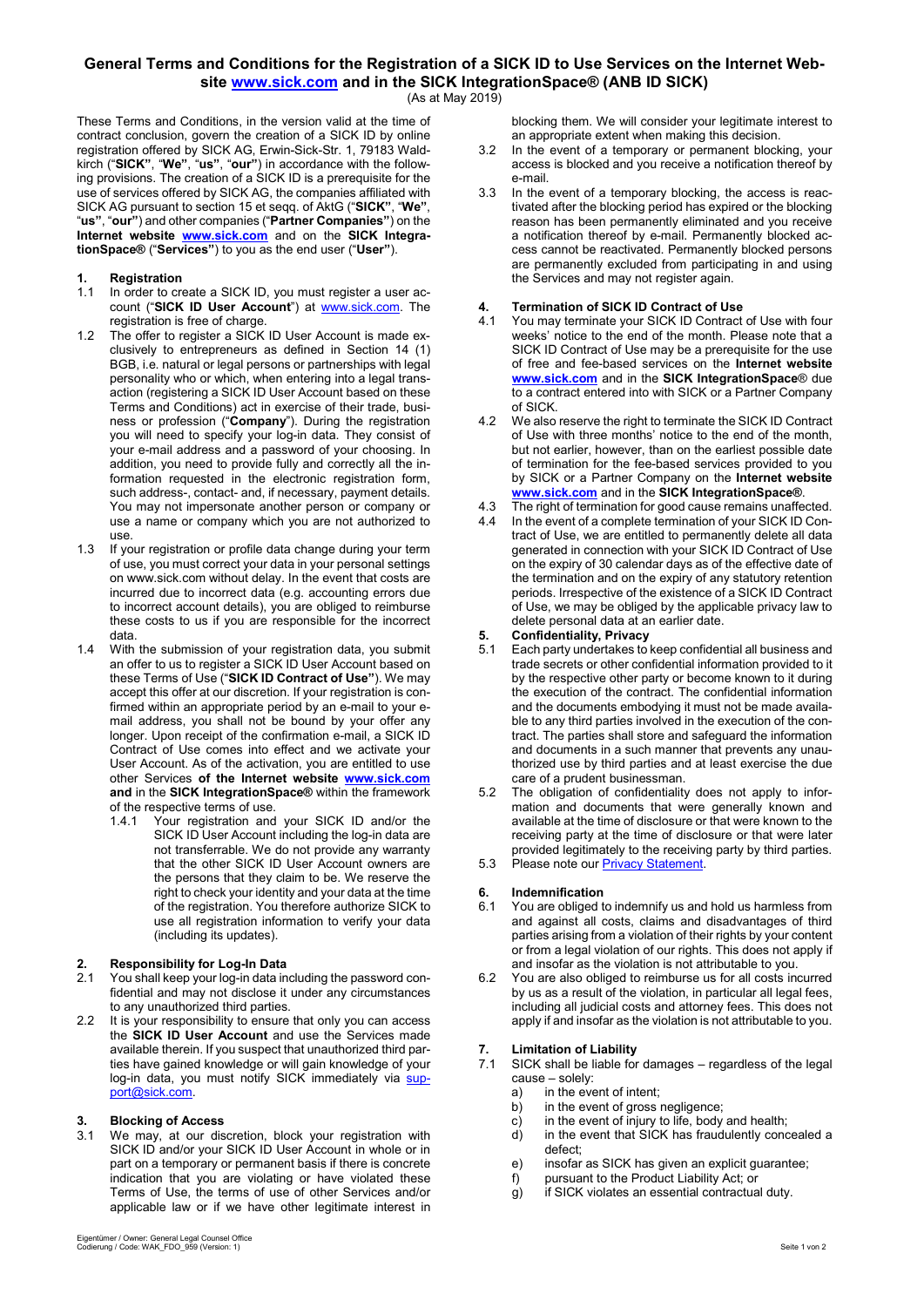#### **General Terms and Conditions for the Registration of a SICK ID to Use Services on the Internet Web-**

**site [www.sick.com](http://www.sick.com/) and in the SICK IntegrationSpace® (ANB ID SICK)** (As at May 2019)

These Terms and Conditions, in the version valid at the time of contract conclusion, govern the creation of a SICK ID by online registration offered by SICK AG, Erwin-Sick-Str. 1, 79183 Waldkirch ("**SICK"**, "**We"**, "**us"**, "**our"**) in accordance with the following provisions. The creation of a SICK ID is a prerequisite for the use of services offered by SICK AG, the companies affiliated with SICK AG pursuant to section 15 et seqq. of AktG ("**SICK"**, "**We"**, "**us"**, "**our"**) and other companies ("**Partner Companies"**) on the **Internet website [www.sick.com](http://www.sick.com/)** and on the **SICK IntegrationSpace®** ("**Services"**) to you as the end user ("**User"**).

# **1. Registration**

- In order to create a SICK ID, you must register a user account ("**SICK ID User Account**") at [www.sick.com.](http://www.sick.com/) The registration is free of charge.
- 1.2 The offer to register a SICK ID User Account is made exclusively to entrepreneurs as defined in Section 14 (1) BGB, i.e. natural or legal persons or partnerships with legal personality who or which, when entering into a legal transaction (registering a SICK ID User Account based on these Terms and Conditions) act in exercise of their trade, business or profession ("**Company**"). During the registration you will need to specify your log-in data. They consist of your e-mail address and a password of your choosing. In addition, you need to provide fully and correctly all the information requested in the electronic registration form, such address-, contact- and, if necessary, payment details. You may not impersonate another person or company or use a name or company which you are not authorized to use.
- 1.3 If your registration or profile data change during your term of use, you must correct your data in your personal settings on www.sick.com without delay. In the event that costs are incurred due to incorrect data (e.g. accounting errors due to incorrect account details), you are obliged to reimburse these costs to us if you are responsible for the incorrect data.
- 1.4 With the submission of your registration data, you submit an offer to us to register a SICK ID User Account based on these Terms of Use ("**SICK ID Contract of Use"**). We may accept this offer at our discretion. If your registration is confirmed within an appropriate period by an e-mail to your email address, you shall not be bound by your offer any longer. Upon receipt of the confirmation e-mail, a SICK ID Contract of Use comes into effect and we activate your User Account. As of the activation, you are entitled to use other Services **of the Internet website [www.sick.com](http://www.sick.com/) and** in the **SICK IntegrationSpace®** within the framework of the respective terms of use.
	- 1.4.1 Your registration and your SICK ID and/or the SICK ID User Account including the log-in data are not transferrable. We do not provide any warranty that the other SICK ID User Account owners are the persons that they claim to be. We reserve the right to check your identity and your data at the time of the registration. You therefore authorize SICK to use all registration information to verify your data (including its updates).

### **2. Responsibility for Log-In Data**

- You shall keep your log-in data including the password confidential and may not disclose it under any circumstances to any unauthorized third parties.
- 2.2 It is your responsibility to ensure that only you can access the **SICK ID User Account** and use the Services made available therein. If you suspect that unauthorized third parties have gained knowledge or will gain knowledge of your log-in data, you must notify SICK immediately via <u>sup-</u> [port@sick.com.](mailto:support@sick.com)

### **3. Blocking of Access**

We may, at our discretion, block your registration with SICK ID and/or your SICK ID User Account in whole or in part on a temporary or permanent basis if there is concrete indication that you are violating or have violated these Terms of Use, the terms of use of other Services and/or applicable law or if we have other legitimate interest in

- 3.2 In the event of a temporary or permanent blocking, your access is blocked and you receive a notification thereof by e-mail.
- 3.3 In the event of a temporary blocking, the access is reactivated after the blocking period has expired or the blocking reason has been permanently eliminated and you receive a notification thereof by e-mail. Permanently blocked access cannot be reactivated. Permanently blocked persons are permanently excluded from participating in and using the Services and may not register again.

### **4. Termination of SICK ID Contract of Use**

- You may terminate your SICK ID Contract of Use with four weeks' notice to the end of the month. Please note that a SICK ID Contract of Use may be a prerequisite for the use of free and fee-based services on the **Internet website [www.sick.com](http://www.sick.com/)** and in the **SICK IntegrationSpace**® due to a contract entered into with SICK or a Partner Company of SICK.
- 4.2 We also reserve the right to terminate the SICK ID Contract of Use with three months' notice to the end of the month, but not earlier, however, than on the earliest possible date of termination for the fee-based services provided to you by SICK or a Partner Company on the **Internet website [www.sick.com](http://www.sick.com/)** and in the **SICK IntegrationSpace®**.
- 4.3 The right of termination for good cause remains unaffected.
- 4.4 In the event of a complete termination of your SICK ID Contract of Use, we are entitled to permanently delete all data generated in connection with your SICK ID Contract of Use on the expiry of 30 calendar days as of the effective date of the termination and on the expiry of any statutory retention periods. Irrespective of the existence of a SICK ID Contract of Use, we may be obliged by the applicable privacy law to delete personal data at an earlier date.

#### **5. Confidentiality, Privacy**

- Each party undertakes to keep confidential all business and trade secrets or other confidential information provided to it by the respective other party or become known to it during the execution of the contract. The confidential information and the documents embodying it must not be made available to any third parties involved in the execution of the contract. The parties shall store and safeguard the information and documents in a such manner that prevents any unauthorized use by third parties and at least exercise the due care of a prudent businessman.
- 5.2 The obligation of confidentiality does not apply to information and documents that were generally known and available at the time of disclosure or that were known to the receiving party at the time of disclosure or that were later provided legitimately to the receiving party by third parties.
- 5.3 Please note our <u>Privacy Statement</u>.

# **6. Indemnification**<br>**6.1** You are obliged to

- You are obliged to indemnify us and hold us harmless from and against all costs, claims and disadvantages of third parties arising from a violation of their rights by your content or from a legal violation of our rights. This does not apply if and insofar as the violation is not attributable to you.
- 6.2 You are also obliged to reimburse us for all costs incurred by us as a result of the violation, in particular all legal fees, including all judicial costs and attorney fees. This does not apply if and insofar as the violation is not attributable to you.

## **7. Limitation of Liability**

- SICK shall be liable for damages regardless of the legal cause – solely:
	- a) in the event of intent;
	- b) in the event of gross negligence;
	- c) in the event of injury to life, body and health;
	- d) in the event that SICK has fraudulently concealed a defect;
	- e) insofar as SICK has given an explicit guarantee;
	- f) pursuant to the Product Liability Act; or
	- g) if SICK violates an essential contractual duty.